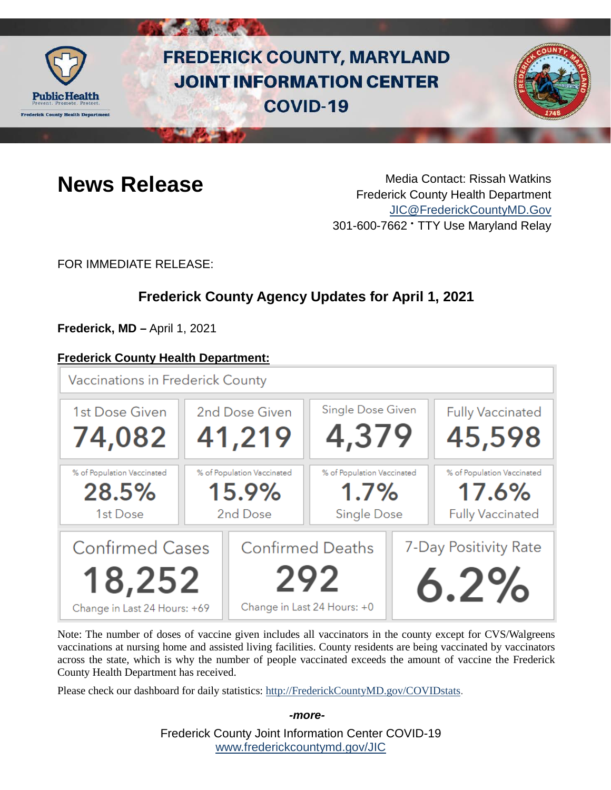

# **FREDERICK COUNTY, MARYLAND JOINT INFORMATION CENTER COVID-19**



**News Release** Media Contact: Rissah Watkins Frederick County Health Department [JIC@FrederickCountyMD.Gov](mailto:JIC@FrederickCountyMD.Gov) 301-600-7662 • TTY Use Maryland Relay

FOR IMMEDIATE RELEASE:

# **Frederick County Agency Updates for April 1, 2021**

**Frederick, MD –** April 1, 2021

### **Frederick County Health Department:**



Note: The number of doses of vaccine given includes all vaccinators in the county except for CVS/Walgreens vaccinations at nursing home and assisted living facilities. County residents are being vaccinated by vaccinators across the state, which is why the number of people vaccinated exceeds the amount of vaccine the Frederick County Health Department has received.

Please check our dashboard for daily statistics: [http://FrederickCountyMD.gov/COVIDstats.](http://frederickcountymd.gov/COVIDstats)

Frederick County Joint Information Center COVID-19 [www.frederickcountymd.gov/JIC](https://frederickcountymd.gov/JIC)

*-more-*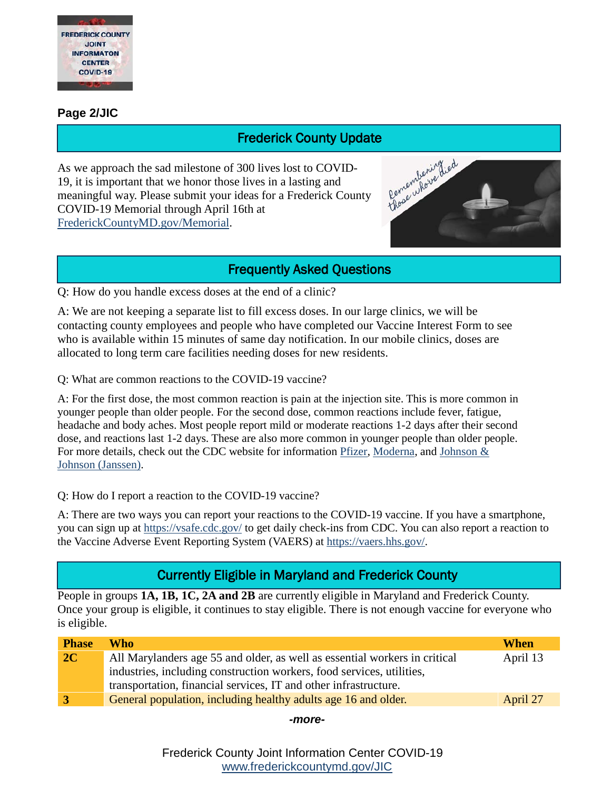

#### **Page 2/JIC**

As we approach the sad milestone of 300 lives lost to COVID-19, it is important that we honor those lives in a lasting and meaningful way. Please submit your ideas for a Frederick County COVID-19 Memorial through April 16th at [FrederickCountyMD.gov/Memorial.](http://frederickcountymd.gov/Memorial) **Frederick County Update**<br>
300 lives lost to COVID-<br>
Elives in a lasting and<br>
deas for a Frederick County<br>
oth at



### Frequently Asked Questions

Q: How do you handle excess doses at the end of a clinic?

A: We are not keeping a separate list to fill excess doses. In our large clinics, we will be contacting county employees and people who have completed our Vaccine Interest Form to see who is available within 15 minutes of same day notification. In our mobile clinics, doses are allocated to long term care facilities needing doses for new residents.

Q: What are common reactions to the COVID-19 vaccine?

A: For the first dose, the most common reaction is pain at the injection site. This is more common in younger people than older people. For the second dose, common reactions include fever, fatigue, headache and body aches. Most people report mild or moderate reactions 1-2 days after their second dose, and reactions last 1-2 days. These are also more common in younger people than older people. For more details, check out the CDC website for information [Pfizer,](https://www.cdc.gov/vaccines/covid-19/info-by-product/pfizer/reactogenicity.html) [Moderna,](https://www.cdc.gov/vaccines/covid-19/info-by-product/moderna/reactogenicity.html) and [Johnson &](https://www.cdc.gov/vaccines/covid-19/info-by-product/janssen/reactogenicity.html)  [Johnson \(Janssen\).](https://www.cdc.gov/vaccines/covid-19/info-by-product/janssen/reactogenicity.html)

Q: How do I report a reaction to the COVID-19 vaccine?

A: There are two ways you can report your reactions to the COVID-19 vaccine. If you have a smartphone, you can sign up at<https://vsafe.cdc.gov/> to get daily check-ins from CDC. You can also report a reaction to the Vaccine Adverse Event Reporting System (VAERS) at [https://vaers.hhs.gov/.](https://vaers.hhs.gov/)

# Currently Eligible in Maryland and Frederick County

People in groups **1A, 1B, 1C, 2A and 2B** are currently eligible in Maryland and Frederick County. Once your group is eligible, it continues to stay eligible. There is not enough vaccine for everyone who is eligible.

| <b>Phase</b>   | Who                                                                        | When     |
|----------------|----------------------------------------------------------------------------|----------|
| 2C             | All Marylanders age 55 and older, as well as essential workers in critical | April 13 |
|                | industries, including construction workers, food services, utilities,      |          |
|                | transportation, financial services, IT and other infrastructure.           |          |
| $\overline{3}$ | General population, including healthy adults age 16 and older.             | April 27 |
|                |                                                                            |          |

*-more-*